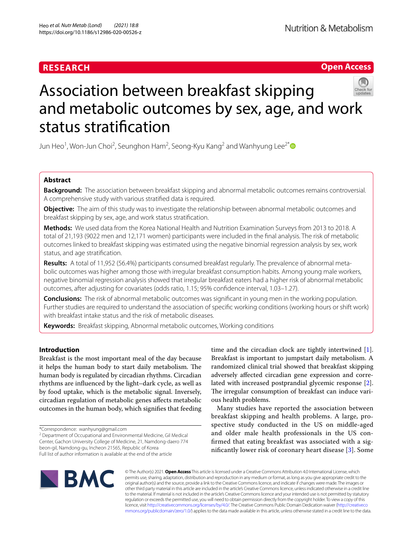# **RESEARCH**

# **Open Access**



# Association between breakfast skipping and metabolic outcomes by sex, age, and work status stratifcation

Jun Heo $^1$ , Won-Jun Choi $^2$ , Seunghon Ham $^2$ , Seong-Kyu Kang $^2$  and Wanhyung Lee $^{2^\ast}$ 

# **Abstract**

**Background:** The association between breakfast skipping and abnormal metabolic outcomes remains controversial. A comprehensive study with various stratifed data is required.

**Objective:** The aim of this study was to investigate the relationship between abnormal metabolic outcomes and breakfast skipping by sex, age, and work status stratifcation.

**Methods:** We used data from the Korea National Health and Nutrition Examination Surveys from 2013 to 2018. A total of 21,193 (9022 men and 12,171 women) participants were included in the fnal analysis. The risk of metabolic outcomes linked to breakfast skipping was estimated using the negative binomial regression analysis by sex, work status, and age stratifcation.

**Results:** A total of 11,952 (56.4%) participants consumed breakfast regularly. The prevalence of abnormal meta‑ bolic outcomes was higher among those with irregular breakfast consumption habits. Among young male workers, negative binomial regression analysis showed that irregular breakfast eaters had a higher risk of abnormal metabolic outcomes, after adjusting for covariates (odds ratio, 1.15; 95% confdence interval, 1.03–1.27).

**Conclusions:** The risk of abnormal metabolic outcomes was signifcant in young men in the working population. Further studies are required to understand the association of specifc working conditions (working hours or shift work) with breakfast intake status and the risk of metabolic diseases.

**Keywords:** Breakfast skipping, Abnormal metabolic outcomes, Working conditions

# **Introduction**

Breakfast is the most important meal of the day because it helps the human body to start daily metabolism. The human body is regulated by circadian rhythms. Circadian rhythms are infuenced by the light–dark cycle, as well as by food uptake, which is the metabolic signal. Inversely, circadian regulation of metabolic genes afects metabolic outcomes in the human body, which signifes that feeding

\*Correspondence: wanhyung@gmail.com

<sup>2</sup> Department of Occupational and Environmental Medicine, Gil Medical Center, Gachon University College of Medicine, 21, Namdong‑daero 774 beon‑gil, Namdong‑gu, Incheon 21565, Republic of Korea Full list of author information is available at the end of the article

time and the circadian clock are tightly intertwined [\[1](#page-8-0)]. Breakfast is important to jumpstart daily metabolism. A randomized clinical trial showed that breakfast skipping adversely afected circadian gene expression and correlated with increased postprandial glycemic response [\[2](#page-8-1)]. The irregular consumption of breakfast can induce various health problems.

Many studies have reported the association between breakfast skipping and health problems. A large, prospective study conducted in the US on middle-aged and older male health professionals in the US confrmed that eating breakfast was associated with a signifcantly lower risk of coronary heart disease [[3](#page-8-2)]. Some



© The Author(s) 2021. **Open Access** This article is licensed under a Creative Commons Attribution 4.0 International License, which permits use, sharing, adaptation, distribution and reproduction in any medium or format, as long as you give appropriate credit to the original author(s) and the source, provide a link to the Creative Commons licence, and indicate if changes were made. The images or other third party material in this article are included in the article's Creative Commons licence, unless indicated otherwise in a credit line to the material. If material is not included in the article's Creative Commons licence and your intended use is not permitted by statutory regulation or exceeds the permitted use, you will need to obtain permission directly from the copyright holder. To view a copy of this licence, visit [http://creativecommons.org/licenses/by/4.0/.](http://creativecommons.org/licenses/by/4.0/) The Creative Commons Public Domain Dedication waiver ([http://creativeco](http://creativecommons.org/publicdomain/zero/1.0/) [mmons.org/publicdomain/zero/1.0/](http://creativecommons.org/publicdomain/zero/1.0/)) applies to the data made available in this article, unless otherwise stated in a credit line to the data.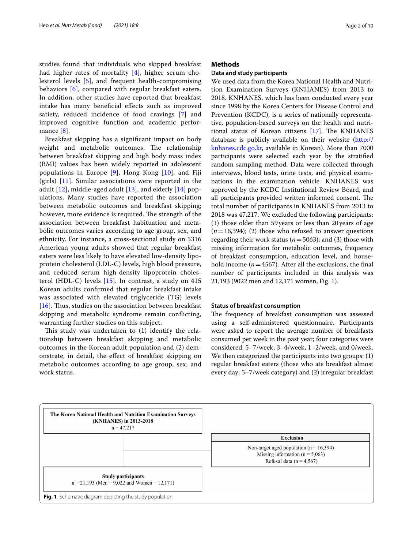studies found that individuals who skipped breakfast had higher rates of mortality [[4\]](#page-8-3), higher serum cholesterol levels [[5\]](#page-8-4), and frequent health-compromising behaviors [\[6](#page-8-5)], compared with regular breakfast eaters. In addition, other studies have reported that breakfast intake has many benefcial efects such as improved satiety, reduced incidence of food cravings [[7\]](#page-8-6) and improved cognitive function and academic performance [[8](#page-8-7)].

Breakfast skipping has a signifcant impact on body weight and metabolic outcomes. The relationship between breakfast skipping and high body mass index (BMI) values has been widely reported in adolescent populations in Europe [[9\]](#page-8-8), Hong Kong [[10\]](#page-8-9), and Fiji (girls) [\[11](#page-8-10)]. Similar associations were reported in the adult [[12](#page-8-11)], middle-aged adult [[13\]](#page-8-12), and elderly [[14\]](#page-8-13) populations. Many studies have reported the association between metabolic outcomes and breakfast skipping; however, more evidence is required. The strength of the association between breakfast habituation and metabolic outcomes varies according to age group, sex, and ethnicity. For instance, a cross-sectional study on 5316 American young adults showed that regular breakfast eaters were less likely to have elevated low-density lipoprotein cholesterol (LDL-C) levels, high blood pressure, and reduced serum high-density lipoprotein cholesterol (HDL-C) levels [[15\]](#page-8-14). In contrast, a study on 415 Korean adults confrmed that regular breakfast intake was associated with elevated triglyceride (TG) levels [ $16$ ]. Thus, studies on the association between breakfast skipping and metabolic syndrome remain conficting, warranting further studies on this subject.

This study was undertaken to  $(1)$  identify the relationship between breakfast skipping and metabolic outcomes in the Korean adult population and (2) demonstrate, in detail, the efect of breakfast skipping on metabolic outcomes according to age group, sex, and work status.

## **Methods**

# **Data and study participants**

We used data from the Korea National Health and Nutrition Examination Surveys (KNHANES) from 2013 to 2018. KNHANES, which has been conducted every year since 1998 by the Korea Centers for Disease Control and Prevention (KCDC), is a series of nationally representative, population-based surveys on the health and nutritional status of Korean citizens  $[17]$  $[17]$ . The KNHANES database is publicly available on their website [\(http://](http://knhanes.cdc.go.kr) [knhanes.cdc.go.kr,](http://knhanes.cdc.go.kr) available in Korean). More than 7000 participants were selected each year by the stratifed random sampling method. Data were collected through interviews, blood tests, urine tests, and physical examinations in the examination vehicle. KNHANES was approved by the KCDC Institutional Review Board, and all participants provided written informed consent. The total number of participants in KNHANES from 2013 to 2018 was 47,217. We excluded the following participants: (1) those older than 59years or less than 20years of age  $(n=16,394)$ ; (2) those who refused to answer questions regarding their work status (*n*=5063); and (3) those with missing information for metabolic outcomes, frequency of breakfast consumption, education level, and household income  $(n=4567)$ . After all the exclusions, the final number of participants included in this analysis was 21,193 (9022 men and 12,171 women, Fig. [1\)](#page-1-0).

# **Status of breakfast consumption**

The frequency of breakfast consumption was assessed using a self-administered questionnaire. Participants were asked to report the average number of breakfasts consumed per week in the past year; four categories were considered: 5–7/week, 3–4/week, 1–2/week, and 0/week. We then categorized the participants into two groups: (1) regular breakfast eaters (those who ate breakfast almost every day; 5–7/week category) and (2) irregular breakfast

<span id="page-1-0"></span>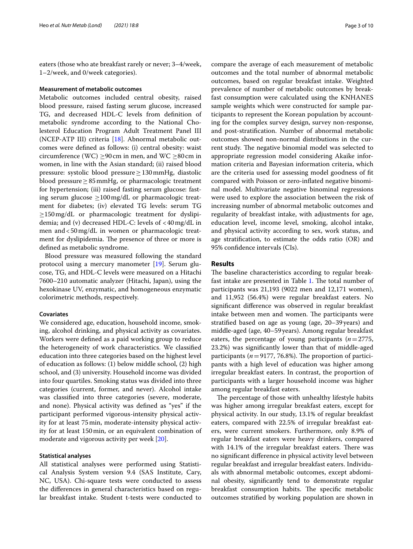eaters (those who ate breakfast rarely or never; 3–4/week, 1–2/week, and 0/week categories).

#### **Measurement of metabolic outcomes**

Metabolic outcomes included central obesity, raised blood pressure, raised fasting serum glucose, increased TG, and decreased HDL-C levels from defnition of metabolic syndrome according to the National Cholesterol Education Program Adult Treatment Panel III (NCEP-ATP III) criteria [[18\]](#page-8-17). Abnormal metabolic outcomes were defned as follows: (i) central obesity: waist circumference (WC)  $\geq$ 90cm in men, and WC  $\geq$ 80cm in women, in line with the Asian standard; (ii) raised blood pressure: systolic blood pressure≥130mmHg, diastolic blood pressure≥85mmHg, or pharmacologic treatment for hypertension; (iii) raised fasting serum glucose: fasting serum glucose  $\geq 100$  mg/dL or pharmacologic treatment for diabetes; (iv) elevated TG levels: serum TG ≥150mg/dL or pharmacologic treatment for dyslipidemia; and (v) decreased HDL-C: levels of  $\langle 40 \text{ mg/dL} \rangle$  in men and<50mg/dL in women or pharmacologic treatment for dyslipidemia. The presence of three or more is defned as metabolic syndrome.

Blood pressure was measured following the standard protocol using a mercury manometer [[19\]](#page-9-0). Serum glucose, TG, and HDL-C levels were measured on a Hitachi 7600–210 automatic analyzer (Hitachi, Japan), using the hexokinase UV, enzymatic, and homogeneous enzymatic colorimetric methods, respectively.

### **Covariates**

We considered age, education, household income, smoking, alcohol drinking, and physical activity as covariates. Workers were defned as a paid working group to reduce the heterogeneity of work characteristics. We classifed education into three categories based on the highest level of education as follows: (1) below middle school, (2) high school, and (3) university. Household income was divided into four quartiles. Smoking status was divided into three categories (current, former, and never). Alcohol intake was classifed into three categories (severe, moderate, and none). Physical activity was defned as "yes" if the participant performed vigorous-intensity physical activity for at least 75min, moderate-intensity physical activity for at least 150min, or an equivalent combination of moderate and vigorous activity per week [\[20](#page-9-1)].

### **Statistical analyses**

All statistical analyses were performed using Statistical Analysis System version 9.4 (SAS Institute, Cary, NC, USA). Chi-square tests were conducted to assess the diferences in general characteristics based on regular breakfast intake. Student t-tests were conducted to compare the average of each measurement of metabolic outcomes and the total number of abnormal metabolic outcomes, based on regular breakfast intake. Weighted prevalence of number of metabolic outcomes by breakfast consumption were calculated using the KNHANES sample weights which were constructed for sample participants to represent the Korean population by accounting for the complex survey design, survey non-response, and post-stratifcation. Number of abnormal metabolic outcomes showed non-normal distributions in the current study. The negative binomial model was selected to appropriate regression model considering Akaike information criteria and Bayesian information criteria, which are the criteria used for assessing model goodness of ft compared with Poisson or zero-infated negative binominal model. Multivariate negative binominal regressions were used to explore the association between the risk of increasing number of abnormal metabolic outcomes and regularity of breakfast intake, with adjustments for age, education level, income level, smoking, alcohol intake, and physical activity according to sex, work status, and age stratifcation, to estimate the odds ratio (OR) and 95% confdence intervals (CIs).

# **Results**

The baseline characteristics according to regular break-fast intake are presented in Table [1](#page-3-0). The total number of participants was 21,193 (9022 men and 12,171 women), and 11,952 (56.4%) were regular breakfast eaters. No signifcant diference was observed in regular breakfast intake between men and women. The participants were stratifed based on age as young (age, 20–39 years) and middle-aged (age, 40–59years). Among regular breakfast eaters, the percentage of young participants (*n*=2775, 23.2%) was signifcantly lower than that of middle-aged participants ( $n=9177, 76.8%$ ). The proportion of participants with a high level of education was higher among irregular breakfast eaters. In contrast, the proportion of participants with a larger household income was higher among regular breakfast eaters.

The percentage of those with unhealthy lifestyle habits was higher among irregular breakfast eaters, except for physical activity. In our study, 13.1% of regular breakfast eaters, compared with 22.5% of irregular breakfast eaters, were current smokers. Furthermore, only 8.9% of regular breakfast eaters were heavy drinkers, compared with 14.1% of the irregular breakfast eaters. There was no signifcant diference in physical activity level between regular breakfast and irregular breakfast eaters. Individuals with abnormal metabolic outcomes, except abdominal obesity, signifcantly tend to demonstrate regular breakfast consumption habits. The specific metabolic outcomes stratifed by working population are shown in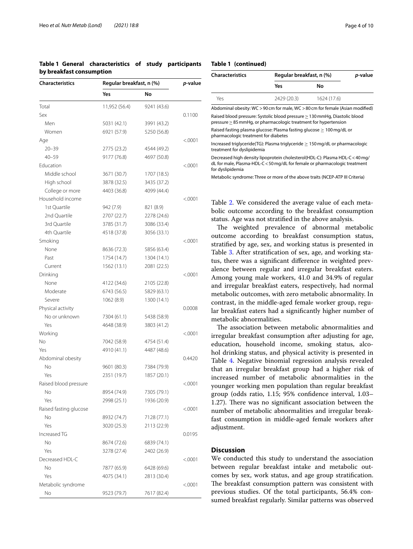<span id="page-3-0"></span>

|                          | Table 1 General characteristics of study participants |  |  |
|--------------------------|-------------------------------------------------------|--|--|
| by breakfast consumption |                                                       |  |  |

| <b>Characteristics</b> | Regular breakfast, n (%) | <i>p</i> -value |         |
|------------------------|--------------------------|-----------------|---------|
|                        | Yes                      | No              |         |
| Total                  | 11,952 (56.4)            | 9241 (43.6)     |         |
| Sex                    |                          |                 | 0.1100  |
| Men                    | 5031 (42.1)              | 3991 (43.2)     |         |
| Women                  | 6921 (57.9)              | 5250 (56.8)     |         |
| Age                    |                          |                 | < 0001  |
| $20 - 39$              | 2775 (23.2)              | 4544 (49.2)     |         |
| $40 - 59$              | 9177 (76.8)              | 4697 (50.8)     |         |
| Education              |                          |                 | < 0001  |
| Middle school          | 3671 (30.7)              | 1707 (18.5)     |         |
| High school            | 3878 (32.5)              | 3435 (37.2)     |         |
| College or more        | 4403 (36.8)              | 4099 (44.4)     |         |
| Household income       |                          |                 | <.0001  |
| 1st Quartile           | 942 (7.9)                | 821 (8.9)       |         |
| 2nd Quartile           | 2707 (22.7)              | 2278 (24.6)     |         |
| 3rd Quartile           | 3785 (31.7)              | 3086 (33.4)     |         |
| 4th Quartile           | 4518 (37.8)              | 3056 (33.1)     |         |
| Smoking                |                          |                 | < 0001  |
| None                   | 8636 (72.3)              | 5856 (63.4)     |         |
| Past                   | 1754 (14.7)              | 1304 (14.1)     |         |
| Current                | 1562 (13.1)              | 2081 (22.5)     |         |
| Drinking               |                          |                 | < 0001  |
| None                   | 4122 (34.6)              | 2105 (22.8)     |         |
| Moderate               | 6743 (56.5)              | 5829 (63.1)     |         |
| Severe                 | 1062 (8.9)               | 1300 (14.1)     |         |
| Physical activity      |                          |                 | 0.0008  |
| No or unknown          | 7304 (61.1)              | 5438 (58.9)     |         |
| Yes                    | 4648 (38.9)              | 3803 (41.2)     |         |
| Working                |                          |                 | < 0001  |
| No                     | 7042 (58.9)              | 4754 (51.4)     |         |
| Yes                    | 4910 (41.1)              | 4487 (48.6)     |         |
| Abdominal obesity      |                          |                 | 0.4420  |
| No                     | 9601 (80.3)              | 7384 (79.9)     |         |
| Yes                    | 2351 (19.7)              | 1857 (20.1)     |         |
| Raised blood pressure  |                          |                 | < 0001  |
| Νo                     | 8954 (74.9)              | 7305 (79.1)     |         |
| Yes                    | 2998 (25.1)              | 1936 (20.9)     |         |
| Raised fasting glucose |                          |                 | < 0001  |
| No                     | 8932 (74.7)              | 7128 (77.1)     |         |
| Yes                    | 3020 (25.3)              | 2113 (22.9)     |         |
| Increased TG           |                          |                 | 0.0195  |
| No                     | 8674 (72.6)              | 6839 (74.1)     |         |
| Yes                    | 3278 (27.4)              | 2402 (26.9)     |         |
| Decreased HDL-C        |                          |                 | < .0001 |
| No                     | 7877 (65.9)              | 6428 (69.6)     |         |
| Yes                    | 4075 (34.1)              | 2813 (30.4)     |         |
| Metabolic syndrome     |                          |                 | < .0001 |
| No                     | 9523 (79.7)              | 7617 (82.4)     |         |

# **Table 1 (continued)**

| <b>Characteristics</b>                                                                                                                        | Regular breakfast, n (%) | <i>p</i> -value |  |
|-----------------------------------------------------------------------------------------------------------------------------------------------|--------------------------|-----------------|--|
|                                                                                                                                               | Yes                      | Νo              |  |
| Yes                                                                                                                                           | 2429 (20.3)              | 1624 (17.6)     |  |
| Abdominal obesity: WC > 90 cm for male, WC > 80 cm for female (Asian modified)                                                                |                          |                 |  |
| Raised blood pressure: Systolic blood pressure > 130 mmHg, Diastolic blood<br>pressure > 85 mmHq, or pharmacologic treatment for hypertension |                          |                 |  |

Raised fasting plasma glucose: Plasma fasting glucose ≥ 100mg/dL or pharmacologic treatment for diabetes

Increased triglyceride(TG): Plasma triglyceride ≥ 150mg/dL or pharmacologic treatment for dyslipidemia

Decreased high density lipoprotein cholesterol(HDL-C): Plasma HDL-C<40mg/ dL for male, Plasma-HDL-C<50mg/dL for female or pharmacologic treatment for dyslipidemia

Metabolic syndrome: Three or more of the above traits (NCEP-ATP III Criteria)

Table [2](#page-4-0). We considered the average value of each metabolic outcome according to the breakfast consumption status. Age was not stratifed in the above analysis.

The weighted prevalence of abnormal metabolic outcome according to breakfast consumption status, stratifed by age, sex, and working status is presented in Table [3.](#page-5-0) After stratifcation of sex, age, and working status, there was a signifcant diference in weighted prevalence between regular and irregular breakfast eaters. Among young male workers, 41.0 and 34.9% of regular and irregular breakfast eaters, respectively, had normal metabolic outcomes, with zero metabolic abnormality. In contrast, in the middle-aged female worker group, regular breakfast eaters had a signifcantly higher number of metabolic abnormalities.

The association between metabolic abnormalities and irregular breakfast consumption after adjusting for age, education, household income, smoking status, alcohol drinking status, and physical activity is presented in Table [4.](#page-6-0) Negative binomial regression analysis revealed that an irregular breakfast group had a higher risk of increased number of metabolic abnormalities in the younger working men population than regular breakfast group (odds ratio, 1.15; 95% confdence interval, 1.03– 1.27). There was no significant association between the number of metabolic abnormalities and irregular breakfast consumption in middle-aged female workers after adjustment.

# **Discussion**

We conducted this study to understand the association between regular breakfast intake and metabolic outcomes by sex, work status, and age group stratifcation. The breakfast consumption pattern was consistent with previous studies. Of the total participants, 56.4% consumed breakfast regularly. Similar patterns was observed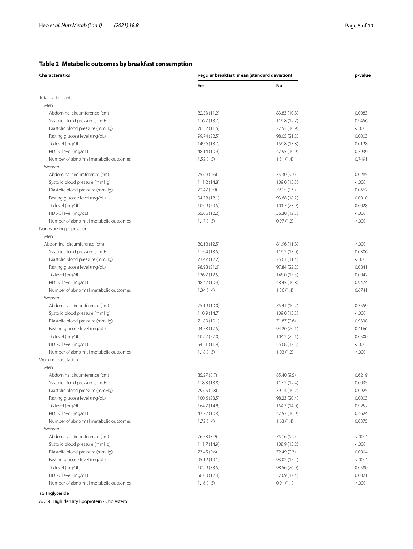<span id="page-4-0"></span>

| Characteristics                       | Regular breakfast, mean (standard deviation) | p-value      |         |
|---------------------------------------|----------------------------------------------|--------------|---------|
|                                       | Yes                                          | No           |         |
| Total participants                    |                                              |              |         |
| Men                                   |                                              |              |         |
| Abdominal circumference (cm)          | 82.53 (11.2)                                 | 83.83 (10.8) | 0.0083  |
| Systolic blood pressure (mmHg)        | 116.7 (13.7)                                 | 116.8 (12.7) | 0.9456  |
| Diastolic blood pressure (mmHg)       | 76.32 (11.5)                                 | 77.53 (10.9) | < .0001 |
| Fasting glucose level (mg/dL)         | 99.74 (22.5)                                 | 98.05 (21.2) | 0.0003  |
| TG level (mg/dL)                      | 149.6 (13.7)                                 | 156.8 (13.8) | 0.0128  |
| HDL-C level (mg/dL)                   | 48.14 (10.9)                                 | 47.95 (10.9) | 0.3939  |
| Number of abnormal metabolic outcomes | 1.52(1.5)                                    | 1.51(1.4)    | 0.7491  |
| Women                                 |                                              |              |         |
| Abdominal circumference (cm)          | 75.69 (9.6)                                  | 75.30 (9.7)  | 0.0285  |
| Systolic blood pressure (mmHg)        | 111.2 (14.8)                                 | 109.0 (13.3) | < .0001 |
| Diastolic blood pressure (mmHg)       | 72.47 (9.9)                                  | 72.15 (9.5)  | 0.0662  |
| Fasting glucose level (mg/dL)         | 94.78 (18.1)                                 | 93.68 (18.2) | 0.0010  |
| TG level (mg/dL)                      | 105.9 (79.5)                                 | 101.7 (73.9) | 0.0028  |
| HDL-C level (mg/dL)                   | 55.06 (12.2)                                 | 56.30 (12.3) | < .0001 |
| Number of abnormal metabolic outcomes | 1.17(1.3)                                    | 0.97(1.2)    | < .0001 |
| Non-working population                |                                              |              |         |
| Men                                   |                                              |              |         |
| Abdominal circumference (cm)          | 80.18 (12.5)                                 | 81.96 (11.8) | < .0001 |
| Systolic blood pressure (mmHg)        | 115.4 (13.5)                                 | 116.2 (13.0) | 0.0306  |
| Diastolic blood pressure (mmHg)       | 73.47 (12.2)                                 | 75.61 (11.4) | < .0001 |
| Fasting glucose level (mg/dL)         | 98.98 (21.6)                                 | 97.84 (22.2) | 0.0841  |
| TG level (mg/dL)                      | 136.7 (12.5)                                 | 148.0 (13.5) | 0.0042  |
| HDL-C level (mg/dL)                   | 48.47 (10.9)                                 | 48.45 (10.8) | 0.9474  |
| Number of abnormal metabolic outcomes | 1.34(1.4)                                    | 1.36(1.4)    | 0.6741  |
| Women                                 |                                              |              |         |
| Abdominal circumference (cm)          | 75.19 (10.0)                                 | 75.41 (10.2) | 0.3559  |
| Systolic blood pressure (mmHg)        | 110.9 (14.7)                                 | 109.0 (13.3) | < .0001 |
| Diastolic blood pressure (mmHg)       | 71.89 (10.1)                                 | 71.87 (9.6)  | 0.9338  |
| Fasting glucose level (mg/dL)         | 94.58 (17.5)                                 | 94.20 (20.1) | 0.4166  |
| TG level (mg/dL)                      | 107.7 (77.0)                                 | 104.2 (72.1) | 0.0500  |
| HDL-C level (mg/dL)                   | 54.51 (11.9)                                 | 55.68 (12.3) | < .0001 |
| Number of abnormal metabolic outcomes | 1.18(1.3)                                    | 1.03(1.2)    | < .0001 |
| Working population                    |                                              |              |         |
| Men                                   |                                              |              |         |
| Abdominal circumference (cm)          | 85.27 (8.7)                                  | 85.40 (9.5)  | 0.6219  |
| Systolic blood pressure (mmHg)        | 118.3 (13.8)                                 | 117.2 (12.4) | 0.0035  |
| Diastolic blood pressure (mmHg)       | 79.65 (9.8)                                  | 79.14 (10.2) | 0.0925  |
| Fasting glucose level (mg/dL)         | 100.6 (23.5)                                 | 98.23 (20.4) | 0.0003  |
| TG level (mg/dL)                      | 164.7 (14.8)                                 | 164.3 (14.0) | 0.9257  |
| HDL-C level (mg/dL)                   | 47.77 (10.8)                                 | 47.53 (10.9) | 0.4624  |
| Number of abnormal metabolic outcomes |                                              |              |         |
| Women                                 | 1.72(1.4)                                    | 1.63(1.4)    | 0.0375  |
|                                       | 76.53 (8.9)                                  |              |         |
| Abdominal circumference (cm)          |                                              | 75.16 (9.1)  | < .0001 |
| Systolic blood pressure (mmHg)        | 111.7 (14.9)                                 | 108.9 (13.2) | < .0001 |
| Diastolic blood pressure (mmHg)       | 73.45 (9.6)                                  | 72.49 (9.3)  | 0.0004  |
| Fasting glucose level (mg/dL)         | 95.12 (19.1)                                 | 93.02 (15.4) | < .0001 |
| TG level (mg/dL)                      | 102.9 (83.5)                                 | 98.56 (76.0) | 0.0580  |
| HDL-C level (mg/dL)                   | 56.00 (12.4)                                 | 57.09 (12.4) | 0.0021  |
| Number of abnormal metabolic outcomes | 1.16(1.3)                                    | 0.91(1.1)    | < .0001 |

*TG* Triglyceride

*HDL-C* High density lipoprotein - Cholesterol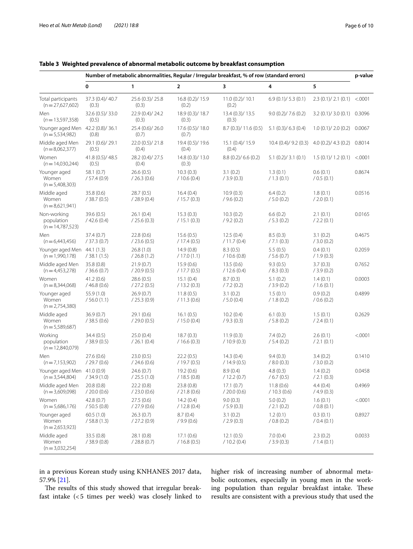# <span id="page-5-0"></span>**Table 3 Weighted prevalence of abnormal metabolic outcome by breakfast consumption**

|                                                  | Number of metabolic abnormalities, Regular / Irregular breakfast, % of row (standard errors) |                           |                           |                           | p-value                                   |                               |          |
|--------------------------------------------------|----------------------------------------------------------------------------------------------|---------------------------|---------------------------|---------------------------|-------------------------------------------|-------------------------------|----------|
|                                                  | 0                                                                                            | 1                         | $\overline{2}$            | 3                         | 4                                         | 5                             |          |
| Total participants<br>$(n=27,627,602)$           | 37.3 (0.4)/ 40.7<br>(0.3)                                                                    | 25.6 (0.3)/ 25.8<br>(0.3) | 16.8 (0.2)/ 15.9<br>(0.2) | 11.0(0.2)/10.1<br>(0.2)   | 6.9(0.1)/5.3(0.1)                         | $2.3$ (0.1)/ 2.1 (0.1) <.0001 |          |
| Men<br>$(n=13,597,358)$                          | 32.6 (0.5)/ 33.0<br>(0.5)                                                                    | 22.9 (0.4)/24.2<br>(0.3)  | 18.9 (0.3)/ 18.7<br>(0.3) | 13.4 (0.3)/ 13.5<br>(0.3) | 9.0(0.2)/7.6(0.2)                         | 3.2(0.1)/3.0(0.1)             | 0.3096   |
| Younger aged Men<br>$(n=5,534,982)$              | 42.2 (0.8)/ 36.1<br>(0.8)                                                                    | 25.4 (0.6)/26.0<br>(0.7)  | 17.6 (0.5)/ 18.0<br>(0.7) | 8.7(0.3)/11.6(0.5)        | $5.1$ (0.3)/ 6.3 (0.4)                    | 1.0(0.1)/2.0(0.2)             | 0.0067   |
| Middle aged Men<br>$(n=8,062,377)$               | 29.1 (0.6)/29.1<br>(0.5)                                                                     | 22.0 (0.5)/ 21.8<br>(0.4) | 19.4 (0.5)/ 19.6<br>(0.4) | 15.1(0.4)/15.9<br>(0.4)   | $10.4(0.4)/9.2(0.3)$ 4.0 $(0.2)/4.3(0.2)$ |                               | 0.8014   |
| Women<br>$(n=14,030,244)$                        | 41.8 (0.5)/ 48.5<br>(0.5)                                                                    | 28.2 (0.4)/ 27.5<br>(0.4) | 14.8 (0.3)/ 13.0<br>(0.3) | 8.8(0.2)/6.6(0.2)         | 5.1(0.2)/3.1(0.1)                         | 1.5(0.1)/1.2(0.1)             | < 0.0001 |
| Younger aged<br>Women<br>$(n=5,408,303)$         | 58.1 (0.7)<br>/ 57.4 (0.9)                                                                   | 26.6(0.5)<br>/ 26.3 (0.6) | 10.3(0.3)<br>/10.6(0.4)   | 3.1(0.2)<br>/3.9(0.3)     | 1.3(0.1)<br>/1.3(0.1)                     | 0.6(0.1)<br>/ 0.5 (0.1)       | 0.8674   |
| Middle aged<br>Women<br>$(n=8,621,941)$          | 35.8(0.6)<br>/38.7(0.5)                                                                      | 28.7(0.5)<br>/28.9(0.4)   | 16.4(0.4)<br>/15.7(0.3)   | 10.9(0.3)<br>/ 9.6(0.2)   | 6.4(0.2)<br>/ 5.0 (0.2)                   | 1.8(0.1)<br>/2.0(0.1)         | 0.0516   |
| Non-working<br>population<br>$(n=14,787,523)$    | 39.6(0.5)<br>/42.6(0.4)                                                                      | 26.1(0.4)<br>/25.6(0.3)   | 15.3(0.3)<br>/15.1(0.3)   | 10.3(0.2)<br>/9.2(0.2)    | 6.6(0.2)<br>/5.3(0.2)                     | 2.1(0.1)<br>/ 2.2 (0.1)       | 0.0165   |
| Men<br>$(n=6,443,456)$                           | 37.4(0.7)<br>/37.3(0.7)                                                                      | 22.8(0.6)<br>/23.6(0.5)   | 15.6(0.5)<br>/17.4(0.5)   | 12.5(0.4)<br>/ 11.7 (0.4) | 8.5(0.3)<br>/7.1(0.3)                     | 3.1(0.2)<br>/3.0(0.2)         | 0.4675   |
| Younger aged Men 44.1 (1.3)<br>$(n = 1,990,178)$ | /38.1(1.5)                                                                                   | 26.8(1.0)<br>/26.8(1.2)   | 14.9(0.8)<br>/17.0(1.1)   | 8.3(0.5)<br>/10.6(0.8)    | 5.5(0.5)<br>/5.6(0.7)                     | 0.4(0.1)<br>/1.9(0.3)         | 0.2059   |
| Middle aged Men<br>$(n=4,453,278)$               | 35.8(0.8)<br>/36.6(0.7)                                                                      | 21.9(0.7)<br>/20.9(0.5)   | 15.9(0.6)<br>/17.7(0.5)   | 13.5(0.6)<br>/ 12.6(0.4)  | 9.3(0.5)<br>/8.3(0.3)                     | 3.7(0.3)<br>/3.9(0.2)         | 0.7652   |
| Women<br>$(n=8,344,068)$                         | 41.2(0.6)<br>/46.8(0.6)                                                                      | 28.6(0.5)<br>/27.2(0.5)   | 15.1(0.4)<br>/13.2(0.3)   | 8.7(0.3)<br>/7.2(0.2)     | 5.1(0.2)<br>/3.9(0.2)                     | 1.4(0.1)<br>/ 1.6 (0.1)       | 0.0003   |
| Younger aged<br>Women<br>$(n=2,754,380)$         | 55.9 (1.0)<br>/56.0(1.1)                                                                     | 26.9(0.7)<br>/25.3(0.9)   | 11.8(0.5)<br>/ 11.3(0.6)  | 3.1(0.2)<br>/5.0(0.4)     | 1.5(0.1)<br>/ 1.8 (0.2)                   | 0.9(0.2)<br>/ 0.6 (0.2)       | 0.4899   |
| Middle aged<br>Women<br>$(n=5,589,687)$          | 36.9(0.7)<br>/38.5(0.6)                                                                      | 29.1(0.6)<br>/29.0(0.5)   | 16.1(0.5)<br>/15.0(0.4)   | 10.2(0.4)<br>/ 9.3 (0.3)  | 6.1(0.3)<br>/5.8(0.2)                     | 1.5(0.1)<br>/ 2.4 (0.1)       | 0.2629   |
| Working<br>population<br>$(n=12,840,079)$        | 34.4 (0.5)<br>/38.9(0.5)                                                                     | 25.0(0.4)<br>/ 26.1 (0.4) | 18.7(0.3)<br>/16.6(0.3)   | 11.9(0.3)<br>/10.9(0.3)   | 7.4(0.2)<br>/ 5.4 (0.2)                   | 2.6(0.1)<br>/2.1(0.1)         | < .0001  |
| Men<br>$(n=7,153,902)$                           | 27.6(0.6)<br>/29.7(0.6)                                                                      | 23.0(0.5)<br>/ 24.6(0.6)  | 22.2(0.5)<br>/19.7(0.5)   | 14.3(0.4)<br>/14.9(0.5)   | 9.4(0.3)<br>/8.0(0.3)                     | 3.4(0.2)<br>/3.0(0.2)         | 0.1410   |
| Younger aged Men<br>$(n=3,544,804)$              | 41.0(0.9)<br>/34.9(1.0)                                                                      | 24.6(0.7)<br>/25.5(1.0)   | 19.2(0.6)<br>/18.5(0.8)   | 8.9(0.4)<br>/12.2(0.7)    | 4.8(0.3)<br>/6.7(0.5)                     | 1.4(0.2)<br>/ 2.1 (0.3)       | 0.0458   |
| Middle aged Men<br>$(n = 3,609,098)$             | 20.8(0.8)<br>/ 20.0 (0.6)                                                                    | 22.2(0.8)<br>/ 23.0 (0.6) | 23.8 (0.8)<br>/ 21.8(0.6) | 17.1(0.7)<br>/ 20.0 (0.6) | 11.8(0.6)<br>/ 10.3 (0.6)                 | 4.4(0.4)<br>/4.9(0.3)         | 0.4969   |
| Women<br>$(n=5,686,176)$                         | 42.8(0.7)<br>/50.5(0.8)                                                                      | 27.5(0.6)<br>/27.9(0.6)   | 14.2(0.4)<br>/ 12.8(0.4)  | 9.0(0.3)<br>/5.9(0.3)     | 5.0(0.2)<br>/ 2.1 (0.2)                   | 1.6(0.1)<br>/ 0.8 (0.1)       | < .0001  |
| Younger aged<br>Women<br>$(n=2,653,923)$         | 60.5(1.0)<br>/58.8(1.3)                                                                      | 26.3(0.7)<br>/27.2(0.9)   | 8.7(0.4)<br>/ 9.9(0.6)    | 3.1(0.2)<br>/2.9(0.3)     | 1.2(0.1)<br>/ 0.8 (0.2)                   | 0.3(0.1)<br>/ 0.4 (0.1)       | 0.8927   |
| Middle aged<br>Women<br>$(n=3.032.254)$          | 33.5(0.8)<br>/38.9(0.8)                                                                      | 28.1(0.8)<br>/28.8(0.7)   | 17.1(0.6)<br>/ 16.8 (0.5) | 12.1(0.5)<br>/ 10.2 (0.4) | 7.0(0.4)<br>/3.9(0.3)                     | 2.3(0.2)<br>/ 1.4 (0.1)       | 0.0033   |

in a previous Korean study using KNHANES 2017 data, 57.9% [\[21\]](#page-9-2).

The results of this study showed that irregular breakfast intake (<5 times per week) was closely linked to higher risk of increasing number of abnormal metabolic outcomes, especially in young men in the working population than regular breakfast intake. These results are consistent with a previous study that used the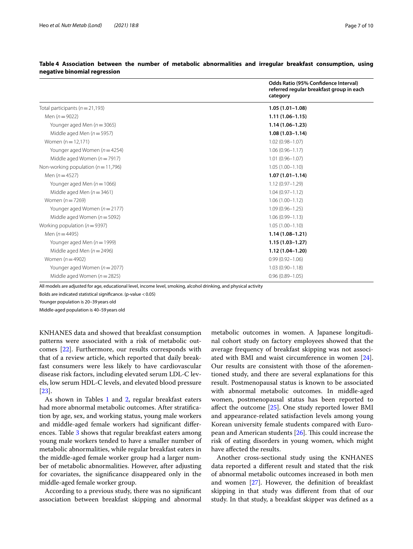|                                         | Odds Ratio (95% Confidence Interval)<br>referred regular breakfast group in each<br>category |
|-----------------------------------------|----------------------------------------------------------------------------------------------|
| Total participants ( $n = 21,193$ )     | $1.05(1.01 - 1.08)$                                                                          |
| Men $(n = 9022)$                        | $1.11(1.06 - 1.15)$                                                                          |
| Younger aged Men $(n = 3065)$           | $1.14(1.06 - 1.23)$                                                                          |
| Middle aged Men $(n = 5957)$            | $1.08(1.03 - 1.14)$                                                                          |
| Women $(n = 12, 171)$                   | $1.02(0.98 - 1.07)$                                                                          |
| Younger aged Women ( $n = 4254$ )       | $1.06(0.96 - 1.17)$                                                                          |
| Middle aged Women ( $n = 7917$ )        | $1.01(0.96 - 1.07)$                                                                          |
| Non-working population ( $n = 11,796$ ) | $1.05(1.00 - 1.10)$                                                                          |
| Men $(n=4527)$                          | $1.07(1.01 - 1.14)$                                                                          |
| Younger aged Men $(n = 1066)$           | $1.12(0.97 - 1.29)$                                                                          |
| Middle aged Men $(n = 3461)$            | $1.04(0.97 - 1.12)$                                                                          |
| Women $(n=7269)$                        | $1.06(1.00 - 1.12)$                                                                          |
| Younger aged Women $(n=2177)$           | $1.09(0.96 - 1.25)$                                                                          |
| Middle aged Women ( $n = 5092$ )        | $1.06(0.99 - 1.13)$                                                                          |
| Working population ( $n = 9397$ )       | $1.05(1.00 - 1.10)$                                                                          |
| Men $(n = 4495)$                        | $1.14(1.08-1.21)$                                                                            |
| Younger aged Men $(n = 1999)$           | $1.15(1.03 - 1.27)$                                                                          |
| Middle aged Men $(n = 2496)$            | $1.12(1.04 - 1.20)$                                                                          |
| Women $(n=4902)$                        | $0.99(0.92 - 1.06)$                                                                          |
| Younger aged Women ( $n = 2077$ )       | $1.03(0.90 - 1.18)$                                                                          |
| Middle aged Women ( $n = 2825$ )        | $0.96(0.89 - 1.05)$                                                                          |
|                                         |                                                                                              |

<span id="page-6-0"></span>**Table 4 Association between the number of metabolic abnormalities and irregular breakfast consumption, using negative binomial regression**

All models are adjusted for age, educational level, income level, smoking, alcohol drinking, and physical activity

Bolds are indicated statistical signifcance. (p-value <0.05)

Younger population is 20–39years old

Middle-aged population is 40–59years old

KNHANES data and showed that breakfast consumption patterns were associated with a risk of metabolic outcomes [\[22\]](#page-9-3). Furthermore, our results corresponds with that of a review article, which reported that daily breakfast consumers were less likely to have cardiovascular disease risk factors, including elevated serum LDL-C levels, low serum HDL-C levels, and elevated blood pressure [[23\]](#page-9-4).

As shown in Tables [1](#page-3-0) and [2,](#page-4-0) regular breakfast eaters had more abnormal metabolic outcomes. After stratifcation by age, sex, and working status, young male workers and middle-aged female workers had signifcant diferences. Table [3](#page-5-0) shows that regular breakfast eaters among young male workers tended to have a smaller number of metabolic abnormalities, while regular breakfast eaters in the middle-aged female worker group had a larger number of metabolic abnormalities. However, after adjusting for covariates, the signifcance disappeared only in the middle-aged female worker group.

According to a previous study, there was no signifcant association between breakfast skipping and abnormal

metabolic outcomes in women. A Japanese longitudinal cohort study on factory employees showed that the average frequency of breakfast skipping was not associated with BMI and waist circumference in women [\[24](#page-9-5)]. Our results are consistent with those of the aforementioned study, and there are several explanations for this result. Postmenopausal status is known to be associated with abnormal metabolic outcomes. In middle-aged women, postmenopausal status has been reported to affect the outcome [[25](#page-9-6)]. One study reported lower BMI and appearance-related satisfaction levels among young Korean university female students compared with European and American students  $[26]$  $[26]$ . This could increase the risk of eating disorders in young women, which might have afected the results.

Another cross-sectional study using the KNHANES data reported a diferent result and stated that the risk of abnormal metabolic outcomes increased in both men and women [[27\]](#page-9-8). However, the defnition of breakfast skipping in that study was diferent from that of our study. In that study, a breakfast skipper was defned as a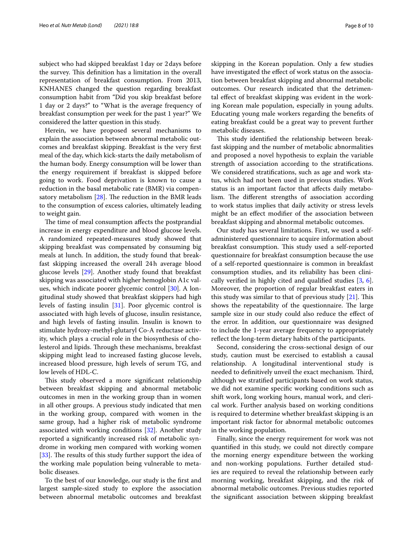subject who had skipped breakfast 1day or 2days before the survey. This definition has a limitation in the overall representation of breakfast consumption. From 2013, KNHANES changed the question regarding breakfast consumption habit from "Did you skip breakfast before 1 day or 2 days?" to "What is the average frequency of breakfast consumption per week for the past 1 year?" We considered the latter question in this study.

Herein, we have proposed several mechanisms to explain the association between abnormal metabolic outcomes and breakfast skipping. Breakfast is the very frst meal of the day, which kick-starts the daily metabolism of the human body. Energy consumption will be lower than the energy requirement if breakfast is skipped before going to work. Food deprivation is known to cause a reduction in the basal metabolic rate (BMR) via compensatory metabolism  $[28]$ . The reduction in the BMR leads to the consumption of excess calories, ultimately leading to weight gain.

The time of meal consumption affects the postprandial increase in energy expenditure and blood glucose levels. A randomized repeated-measures study showed that skipping breakfast was compensated by consuming big meals at lunch. In addition, the study found that breakfast skipping increased the overall 24h average blood glucose levels [[29\]](#page-9-10). Another study found that breakfast skipping was associated with higher hemoglobin A1c values, which indicate poorer glycemic control [\[30](#page-9-11)]. A longitudinal study showed that breakfast skippers had high levels of fasting insulin [[31\]](#page-9-12). Poor glycemic control is associated with high levels of glucose, insulin resistance, and high levels of fasting insulin. Insulin is known to stimulate hydroxy-methyl-glutaryl Co-A reductase activity, which plays a crucial role in the biosynthesis of cholesterol and lipids. Through these mechanisms, breakfast skipping might lead to increased fasting glucose levels, increased blood pressure, high levels of serum TG, and low levels of HDL-C.

This study observed a more significant relationship between breakfast skipping and abnormal metabolic outcomes in men in the working group than in women in all other groups. A previous study indicated that men in the working group, compared with women in the same group, had a higher risk of metabolic syndrome associated with working conditions [[32](#page-9-13)]. Another study reported a signifcantly increased risk of metabolic syndrome in working men compared with working women [[33\]](#page-9-14). The results of this study further support the idea of the working male population being vulnerable to metabolic diseases.

To the best of our knowledge, our study is the frst and largest sample-sized study to explore the association between abnormal metabolic outcomes and breakfast skipping in the Korean population. Only a few studies have investigated the effect of work status on the association between breakfast skipping and abnormal metabolic outcomes. Our research indicated that the detrimental efect of breakfast skipping was evident in the working Korean male population, especially in young adults. Educating young male workers regarding the benefts of eating breakfast could be a great way to prevent further metabolic diseases.

This study identified the relationship between breakfast skipping and the number of metabolic abnormalities and proposed a novel hypothesis to explain the variable strength of association according to the stratifcations. We considered stratifcations, such as age and work status, which had not been used in previous studies. Work status is an important factor that afects daily metabolism. The different strengths of association according to work status implies that daily activity or stress levels might be an efect modifer of the association between breakfast skipping and abnormal metabolic outcomes.

Our study has several limitations. First, we used a selfadministered questionnaire to acquire information about breakfast consumption. This study used a self-reported questionnaire for breakfast consumption because the use of a self-reported questionnaire is common in breakfast consumption studies, and its reliability has been clinically verifed in highly cited and qualifed studies [[3,](#page-8-2) [6](#page-8-5)]. Moreover, the proportion of regular breakfast eaters in this study was similar to that of previous study  $[21]$ . This shows the repeatability of the questionnaire. The large sample size in our study could also reduce the efect of the error. In addition, our questionnaire was designed to include the 1-year average frequency to appropriately refect the long-term dietary habits of the participants.

Second, considering the cross-sectional design of our study, caution must be exercised to establish a causal relationship. A longitudinal interventional study is needed to definitively unveil the exact mechanism. Third, although we stratifed participants based on work status, we did not examine specifc working conditions such as shift work, long working hours, manual work, and clerical work. Further analysis based on working conditions is required to determine whether breakfast skipping is an important risk factor for abnormal metabolic outcomes in the working population.

Finally, since the energy requirement for work was not quantifed in this study, we could not directly compare the morning energy expenditure between the working and non-working populations. Further detailed studies are required to reveal the relationship between early morning working, breakfast skipping, and the risk of abnormal metabolic outcomes. Previous studies reported the signifcant association between skipping breakfast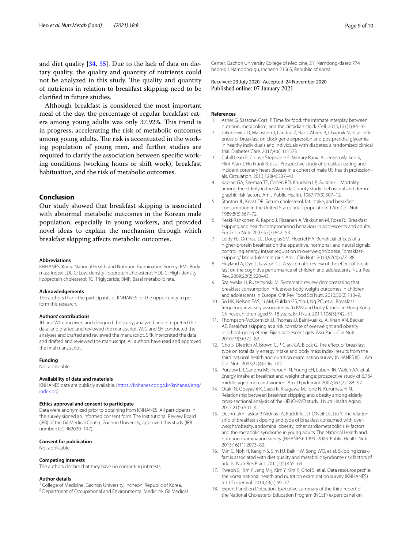and diet quality [\[34,](#page-9-15) [35](#page-9-16)]. Due to the lack of data on dietary quality, the quality and quantity of nutrients could not be analyzed in this study. The quality and quantity of nutrients in relation to breakfast skipping need to be clarifed in future studies.

Although breakfast is considered the most important meal of the day, the percentage of regular breakfast eaters among young adults was only 37.92%. This trend is in progress, accelerating the risk of metabolic outcomes among young adults. The risk is accentuated in the working population of young men, and further studies are required to clarify the association between specifc working conditions (working hours or shift work), breakfast habituation, and the risk of metabolic outcomes.

## **Conclusion**

Our study showed that breakfast skipping is associated with abnormal metabolic outcomes in the Korean male population, especially in young workers, and provided novel ideas to explain the mechanism through which breakfast skipping afects metabolic outcomes.

#### **Abbreviations**

KNHANES: Korea National Health and Nutrition Examination Survey; BMI: Body mass index; LDL-C: Low-density lipoprotein cholesterol; HDL-C: High-density lipoprotein cholesterol; TG: Triglyceride; BMR: Basal metabolic rate.

#### **Acknowledgements**

The authors thank the participants of KNHANES for the opportunity to perform this research.

#### **Authors' contributions**

JH and WL conceived and designed the study; analyzed and interpreted the data; and drafted and reviewed the manuscript. WJC and SH conducted the analyses and drafted and reviewed the manuscript. SKK interpreted the data and drafted and reviewed the manuscript. All authors have read and approved the fnal manuscript.

#### **Funding**

Not applicable.

#### **Availability of data and materials**

KNHANES data are publicly available. ([https://knhanes.cdc.go.kr/knhanes/eng/](https://knhanes.cdc.go.kr/knhanes/eng/index.do) [index.do\)](https://knhanes.cdc.go.kr/knhanes/eng/index.do).

### **Ethics approval and consent to participate**

Data were anonymized prior to obtaining from KNHANES. All participants in the survey signed an informed consent form. The Institutional Review Board (IRB) of the Gil Medical Center, Gachon University, approved this study (IRB number: GCIRB2020–147).

#### **Consent for publication**

Not applicable.

#### **Competing interests**

The authors declare that they have no competing interests.

#### **Author details**

- 
- <sup>1</sup> College of Medicine, Gachon University, Incheon, Republic of Korea.<br><sup>2</sup> Department of Occupational and Environmental Medicine, Gil Medical

Center, Gachon University College of Medicine, 21, Namdong‑daero 774 beon‑gil, Namdong‑gu, Incheon 21565, Republic of Korea.

Received: 23 July 2020 Accepted: 24 November 2020<br>Published online: 07 January 2021

## **References**

- <span id="page-8-0"></span>Asher G, Sassone-Corsi P. Time for food: the intimate interplay between nutrition, metabolism, and the circadian clock. Cell. 2015;161(1):84–92.
- <span id="page-8-1"></span>2. Jakubowicz D, Wainstein J, Landau Z, Raz I, Ahren B, Chapnik N, et al. Influences of breakfast on clock gene expression and postprandial glycemia in healthy individuals and individuals with diabetes: a randomized clinical trial. Diabetes Care. 2017;40(11):1573.
- <span id="page-8-2"></span>3. Cahill Leah E, Chiuve Stephanie E, Mekary Rania A, Jensen Majken K, Flint Alan J, Hu Frank B, et al. Prospective study of breakfast eating and incident coronary heart disease in a cohort of male US health professionals. Circulation. 2013;128(4):337–43.
- <span id="page-8-3"></span>4. Kaplan GA, Seeman TE, Cohen RD, Knudsen LP, Guralnik J. Mortality among the elderly in the Alameda County study: behavioral and demographic risk factors. Am J Public Health. 1987;77(3):307–12.
- <span id="page-8-4"></span>5. Stanton JL, Keast DR. Serum cholesterol, fat intake, and breakfast consumption in the United States adult population. J Am Coll Nutr. 1989;8(6):567–72.
- <span id="page-8-5"></span>6. Keski-Rahkonen A, Kaprio J, Rissanen A, Virkkunen M, Rose RJ. Breakfast skipping and health-compromising behaviors in adolescents and adults. Eur J Clin Nutr. 2003;57(7):842–53.
- <span id="page-8-6"></span>7. Leidy HJ, Ortinau LC, Douglas SM, Hoertel HA. Beneficial effects of a higher-protein breakfast on the appetitive, hormonal, and neural signals controlling energy intake regulation in overweight/obese, "breakfastskipping," late-adolescent girls. Am J Clin Nutr. 2013;97(4):677–88.
- <span id="page-8-7"></span>8. Hoyland A, Dye L, Lawton CL. A systematic review of the effect of breakfast on the cognitive performance of children and adolescents. Nutr Res Rev. 2009;22(2):220–43.
- <span id="page-8-8"></span>9. Szajewska H, Ruszczyński M. Systematic review demonstrating that breakfast consumption infuences body weight outcomes in children and adolescents in Europe. Crit Rev Food Sci Nutr. 2010;50(2):113–9.
- <span id="page-8-9"></span>10. So HK, Nelson EAS, Li AM, Guldan GS, Yin J, Ng PC, et al. Breakfast frequency inversely associated with BMI and body fatness in Hong Kong Chinese children aged 9–18 years. Br J Nutr. 2011;106(5):742–51.
- <span id="page-8-10"></span>11. Thompson-McCormick JJ, Thomas JJ, Bainivualiku A, Khan AN, Becker AE. Breakfast skipping as a risk correlate of overweight and obesity in school-going ethnic Fijian adolescent girls. Asia Pac J Clin Nutr. 2010;19(3):372–82.
- <span id="page-8-11"></span>12. Cho S, Dietrich M, Brown CJP, Clark CA, Block G. The effect of breakfast type on total daily energy intake and body mass index: results from the third national health and nutrition examination survey (NHANES III). J Am Coll Nutr. 2003;22(4):296–302.
- <span id="page-8-12"></span>13. Purslow LR, Sandhu MS, Forouhi N, Young EH, Luben RN, Welch AA, et al. Energy intake at breakfast and weight change: prospective study of 6,764 middle-aged men and women. Am J Epidemiol. 2007;167(2):188–92.
- <span id="page-8-13"></span>14. Otaki N, Obayashi K, Saeki K, Kitagawa M, Tone N, Kurumatani N. Relationship between breakfast skipping and obesity among elderly: cross-sectional analysis of the HEIJO-KYO study. J Nutr Health Aging. 2017;21(5):501–4.
- <span id="page-8-14"></span>15. Deshmukh-Taskar P, Nicklas TA, Radcliffe JD, O'Neil CE, Liu Y. The relationship of breakfast skipping and type of breakfast consumed with overweight/obesity, abdominal obesity, other cardiometabolic risk factors and the metabolic syndrome in young adults. The National Health and nutrition examination survey (NHANES): 1999–2006. Public Health Nutr. 2013;16(11):2073–82.
- <span id="page-8-15"></span>16. Min C, Noh H, Kang Y-S, Sim HJ, Baik HW, Song WO, et al. Skipping break‑ fast is associated with diet quality and metabolic syndrome risk factors of adults. Nutr Res Pract. 2011;5(5):455–63.
- <span id="page-8-16"></span>17. Kweon S, Kim Y, Jang M-j, Kim Y, Kim K, Choi S, et al. Data resource profle: the Korea national health and nutrition examination survey (KNHANES). Int J Epidemiol. 2014;43(1):69–77.
- <span id="page-8-17"></span>18. Expert Panel on Detection. Executive summary of the third report of the National Cholesterol Education Program (NCEP) expert panel on